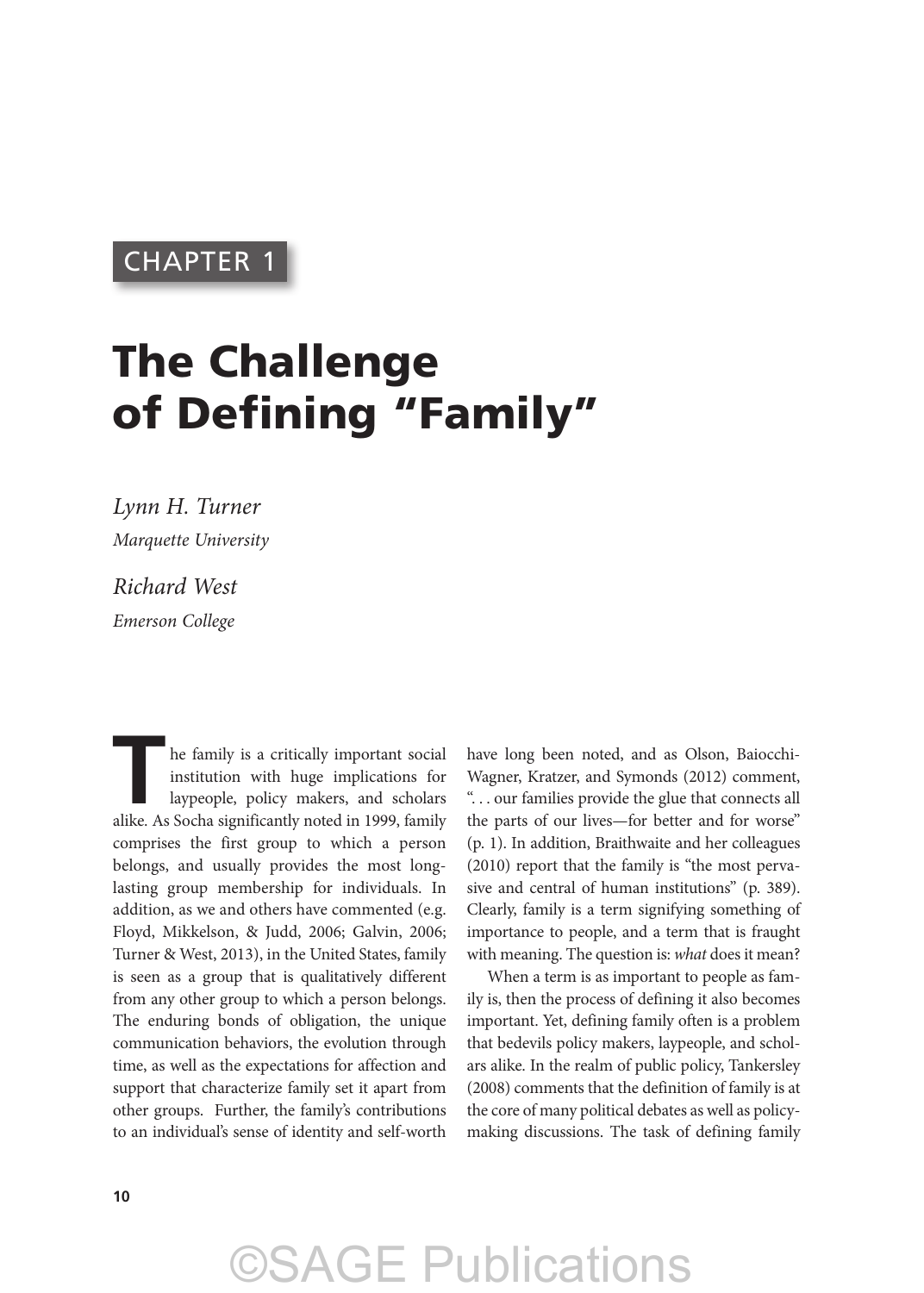### CHAPTER 1

# The Challenge of Defining "Family"

*Lynn H. Turner Marquette University*

*Richard West Emerson College*

**THE FACT ST EXECUTE 15 THE FACT SOFTER**<br> **THE FACT ST ENDINGERENT ST ENDINGERENT SOFTER SOFTER SOFTER SOFTER SOFTER SOFTER SOFTER SOFTER SOFTER SOFTER SOFTER SOFTER SOFTER SOFTER SOFTER SOFTER SOFTER SOFTER SOFTER SOFTER** institution with huge implications for laypeople, policy makers, and scholars alike. As Socha significantly noted in 1999, family comprises the first group to which a person belongs, and usually provides the most longlasting group membership for individuals. In addition, as we and others have commented (e.g. Floyd, Mikkelson, & Judd, 2006; Galvin, 2006; Turner & West, 2013), in the United States, family is seen as a group that is qualitatively different from any other group to which a person belongs. The enduring bonds of obligation, the unique communication behaviors, the evolution through time, as well as the expectations for affection and support that characterize family set it apart from other groups. Further, the family's contributions to an individual's sense of identity and self-worth

have long been noted, and as Olson, Baiocchi-Wagner, Kratzer, and Symonds (2012) comment, ". . . our families provide the glue that connects all the parts of our lives—for better and for worse" (p. 1). In addition, Braithwaite and her colleagues (2010) report that the family is "the most pervasive and central of human institutions" (p. 389). Clearly, family is a term signifying something of importance to people, and a term that is fraught with meaning. The question is: *what* does it mean?

When a term is as important to people as family is, then the process of defining it also becomes important. Yet, defining family often is a problem that bedevils policy makers, laypeople, and scholars alike. In the realm of public policy, Tankersley (2008) comments that the definition of family is at the core of many political debates as well as policymaking discussions. The task of defining family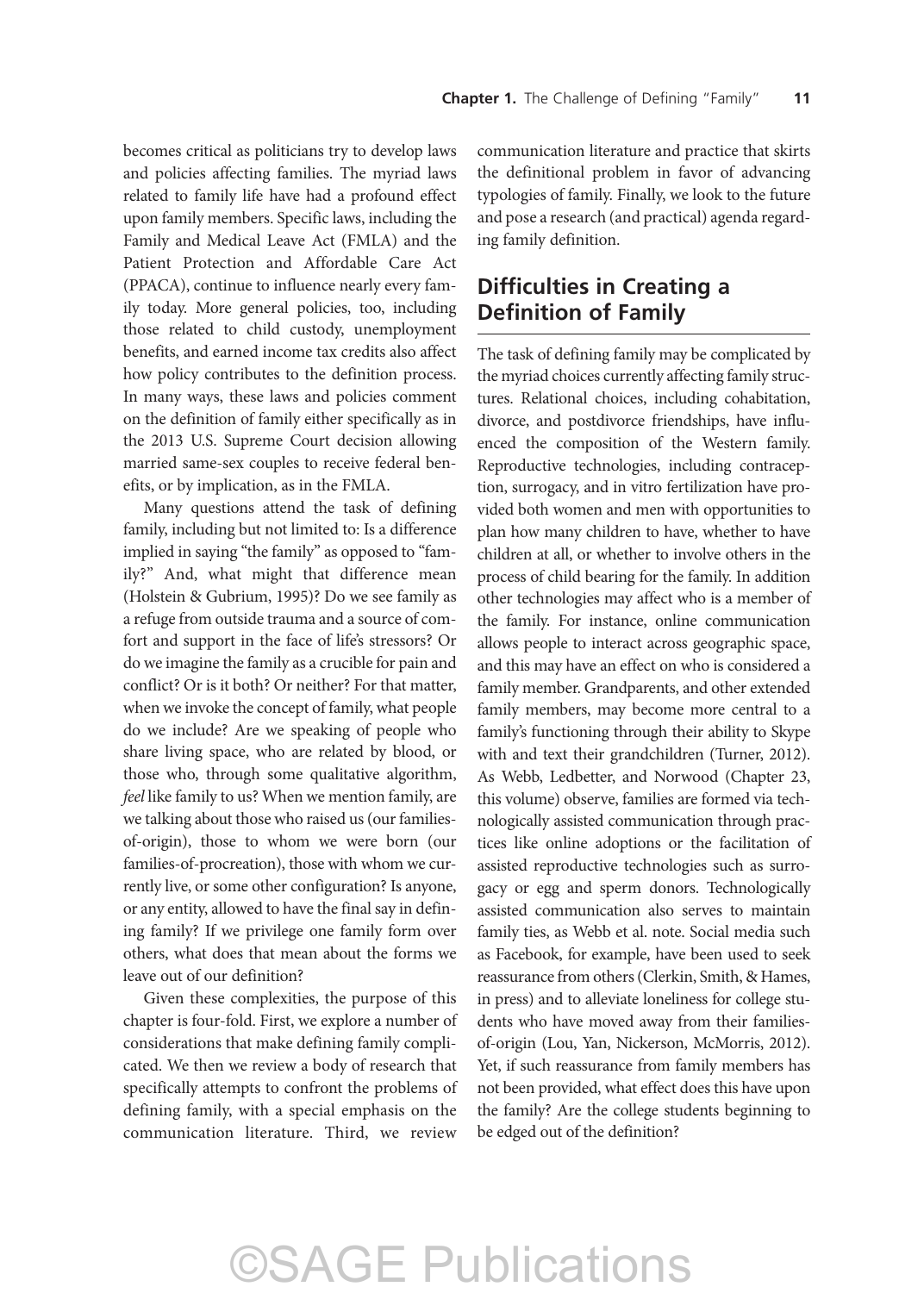becomes critical as politicians try to develop laws and policies affecting families. The myriad laws related to family life have had a profound effect upon family members. Specific laws, including the Family and Medical Leave Act (FMLA) and the Patient Protection and Affordable Care Act (PPACA), continue to influence nearly every family today. More general policies, too, including those related to child custody, unemployment benefits, and earned income tax credits also affect how policy contributes to the definition process. In many ways, these laws and policies comment on the definition of family either specifically as in the 2013 U.S. Supreme Court decision allowing married same-sex couples to receive federal benefits, or by implication, as in the FMLA.

Many questions attend the task of defining family, including but not limited to: Is a difference implied in saying "the family" as opposed to "family?" And, what might that difference mean (Holstein & Gubrium, 1995)? Do we see family as a refuge from outside trauma and a source of comfort and support in the face of life's stressors? Or do we imagine the family as a crucible for pain and conflict? Or is it both? Or neither? For that matter, when we invoke the concept of family, what people do we include? Are we speaking of people who share living space, who are related by blood, or those who, through some qualitative algorithm, *feel* like family to us? When we mention family, are we talking about those who raised us (our familiesof-origin), those to whom we were born (our families-of-procreation), those with whom we currently live, or some other configuration? Is anyone, or any entity, allowed to have the final say in defining family? If we privilege one family form over others, what does that mean about the forms we leave out of our definition?

Given these complexities, the purpose of this chapter is four-fold. First, we explore a number of considerations that make defining family complicated. We then we review a body of research that specifically attempts to confront the problems of defining family, with a special emphasis on the communication literature. Third, we review

communication literature and practice that skirts the definitional problem in favor of advancing typologies of family. Finally, we look to the future and pose a research (and practical) agenda regarding family definition.

### **Difficulties in Creating a Definition of Family**

The task of defining family may be complicated by the myriad choices currently affecting family structures. Relational choices, including cohabitation, divorce, and postdivorce friendships, have influenced the composition of the Western family. Reproductive technologies, including contraception, surrogacy, and in vitro fertilization have provided both women and men with opportunities to plan how many children to have, whether to have children at all, or whether to involve others in the process of child bearing for the family. In addition other technologies may affect who is a member of the family. For instance, online communication allows people to interact across geographic space, and this may have an effect on who is considered a family member. Grandparents, and other extended family members, may become more central to a family's functioning through their ability to Skype with and text their grandchildren (Turner, 2012). As Webb, Ledbetter, and Norwood (Chapter 23, this volume) observe, families are formed via technologically assisted communication through practices like online adoptions or the facilitation of assisted reproductive technologies such as surrogacy or egg and sperm donors. Technologically assisted communication also serves to maintain family ties, as Webb et al. note. Social media such as Facebook, for example, have been used to seek reassurance from others (Clerkin, Smith, & Hames, in press) and to alleviate loneliness for college students who have moved away from their familiesof-origin (Lou, Yan, Nickerson, McMorris, 2012). Yet, if such reassurance from family members has not been provided, what effect does this have upon the family? Are the college students beginning to be edged out of the definition?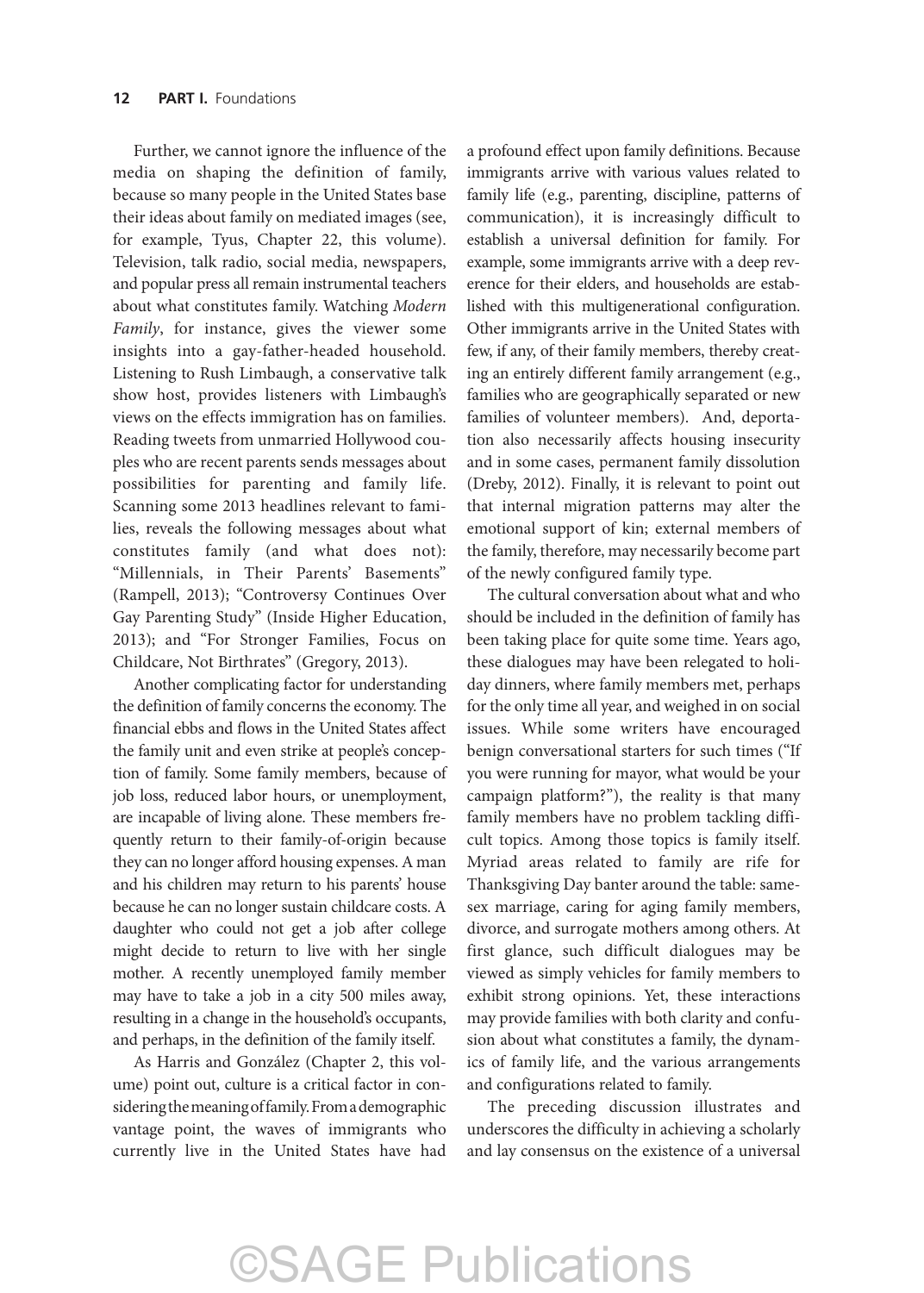Further, we cannot ignore the influence of the media on shaping the definition of family, because so many people in the United States base their ideas about family on mediated images (see, for example, Tyus, Chapter 22, this volume). Television, talk radio, social media, newspapers, and popular press all remain instrumental teachers about what constitutes family. Watching *Modern Family*, for instance, gives the viewer some insights into a gay-father-headed household. Listening to Rush Limbaugh, a conservative talk show host, provides listeners with Limbaugh's views on the effects immigration has on families. Reading tweets from unmarried Hollywood couples who are recent parents sends messages about possibilities for parenting and family life. Scanning some 2013 headlines relevant to families, reveals the following messages about what constitutes family (and what does not): "Millennials, in Their Parents' Basements" (Rampell, 2013); "Controversy Continues Over Gay Parenting Study" (Inside Higher Education, 2013); and "For Stronger Families, Focus on Childcare, Not Birthrates" (Gregory, 2013).

Another complicating factor for understanding the definition of family concerns the economy. The financial ebbs and flows in the United States affect the family unit and even strike at people's conception of family. Some family members, because of job loss, reduced labor hours, or unemployment, are incapable of living alone. These members frequently return to their family-of-origin because they can no longer afford housing expenses. A man and his children may return to his parents' house because he can no longer sustain childcare costs. A daughter who could not get a job after college might decide to return to live with her single mother. A recently unemployed family member may have to take a job in a city 500 miles away, resulting in a change in the household's occupants, and perhaps, in the definition of the family itself.

As Harris and González (Chapter 2, this volume) point out, culture is a critical factor in considering the meaning of family. From a demographic vantage point, the waves of immigrants who currently live in the United States have had

a profound effect upon family definitions. Because immigrants arrive with various values related to family life (e.g., parenting, discipline, patterns of communication), it is increasingly difficult to establish a universal definition for family. For example, some immigrants arrive with a deep reverence for their elders, and households are established with this multigenerational configuration. Other immigrants arrive in the United States with few, if any, of their family members, thereby creating an entirely different family arrangement (e.g., families who are geographically separated or new families of volunteer members). And, deportation also necessarily affects housing insecurity and in some cases, permanent family dissolution (Dreby, 2012). Finally, it is relevant to point out that internal migration patterns may alter the emotional support of kin; external members of the family, therefore, may necessarily become part of the newly configured family type.

The cultural conversation about what and who should be included in the definition of family has been taking place for quite some time. Years ago, these dialogues may have been relegated to holiday dinners, where family members met, perhaps for the only time all year, and weighed in on social issues. While some writers have encouraged benign conversational starters for such times ("If you were running for mayor, what would be your campaign platform?"), the reality is that many family members have no problem tackling difficult topics. Among those topics is family itself. Myriad areas related to family are rife for Thanksgiving Day banter around the table: samesex marriage, caring for aging family members, divorce, and surrogate mothers among others. At first glance, such difficult dialogues may be viewed as simply vehicles for family members to exhibit strong opinions. Yet, these interactions may provide families with both clarity and confusion about what constitutes a family, the dynamics of family life, and the various arrangements and configurations related to family.

The preceding discussion illustrates and underscores the difficulty in achieving a scholarly and lay consensus on the existence of a universal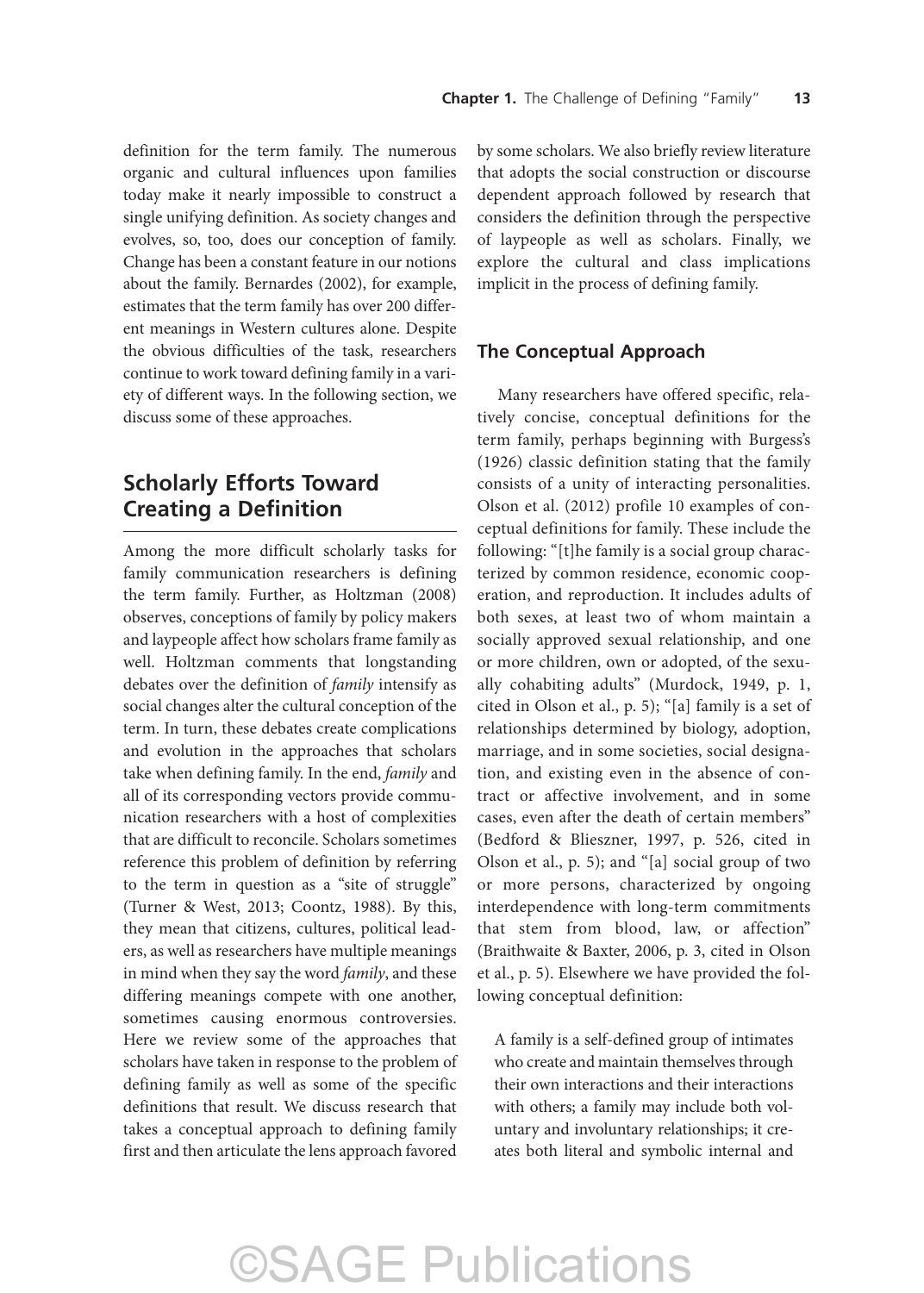definition for the term family. The numerous organic and cultural influences upon families today make it nearly impossible to construct a single unifying definition. As society changes and evolves, so, too, does our conception of family. Change has been a constant feature in our notions about the family. Bernardes (2002), for example, estimates that the term family has over 200 different meanings in Western cultures alone. Despite the obvious difficulties of the task, researchers continue to work toward defining family in a variety of different ways. In the following section, we discuss some of these approaches.

### **Scholarly Efforts Toward Creating a Definition**

Among the more difficult scholarly tasks for family communication researchers is defining the term family. Further, as Holtzman (2008) observes, conceptions of family by policy makers and laypeople affect how scholars frame family as well. Holtzman comments that longstanding debates over the definition of *family* intensify as social changes alter the cultural conception of the term. In turn, these debates create complications and evolution in the approaches that scholars take when defining family. In the end, *family* and all of its corresponding vectors provide communication researchers with a host of complexities that are difficult to reconcile. Scholars sometimes reference this problem of definition by referring to the term in question as a "site of struggle" (Turner & West, 2013; Coontz, 1988). By this, they mean that citizens, cultures, political leaders, as well as researchers have multiple meanings in mind when they say the word *family*, and these differing meanings compete with one another, sometimes causing enormous controversies. Here we review some of the approaches that scholars have taken in response to the problem of defining family as well as some of the specific definitions that result. We discuss research that takes a conceptual approach to defining family first and then articulate the lens approach favored by some scholars. We also briefly review literature that adopts the social construction or discourse dependent approach followed by research that considers the definition through the perspective of laypeople as well as scholars. Finally, we explore the cultural and class implications implicit in the process of defining family.

#### **The Conceptual Approach**

Many researchers have offered specific, relatively concise, conceptual definitions for the term family, perhaps beginning with Burgess's (1926) classic definition stating that the family consists of a unity of interacting personalities. Olson et al. (2012) profile 10 examples of conceptual definitions for family. These include the following: "[t]he family is a social group characterized by common residence, economic cooperation, and reproduction. It includes adults of both sexes, at least two of whom maintain a socially approved sexual relationship, and one or more children, own or adopted, of the sexually cohabiting adults" (Murdock, 1949, p. 1, cited in Olson et al., p. 5); "[a] family is a set of relationships determined by biology, adoption, marriage, and in some societies, social designation, and existing even in the absence of contract or affective involvement, and in some cases, even after the death of certain members" (Bedford & Blieszner, 1997, p. 526, cited in Olson et al., p. 5); and "[a] social group of two or more persons, characterized by ongoing interdependence with long-term commitments that stem from blood, law, or affection" (Braithwaite & Baxter, 2006, p. 3, cited in Olson et al., p. 5). Elsewhere we have provided the following conceptual definition:

A family is a self-defined group of intimates who create and maintain themselves through their own interactions and their interactions with others; a family may include both voluntary and involuntary relationships; it creates both literal and symbolic internal and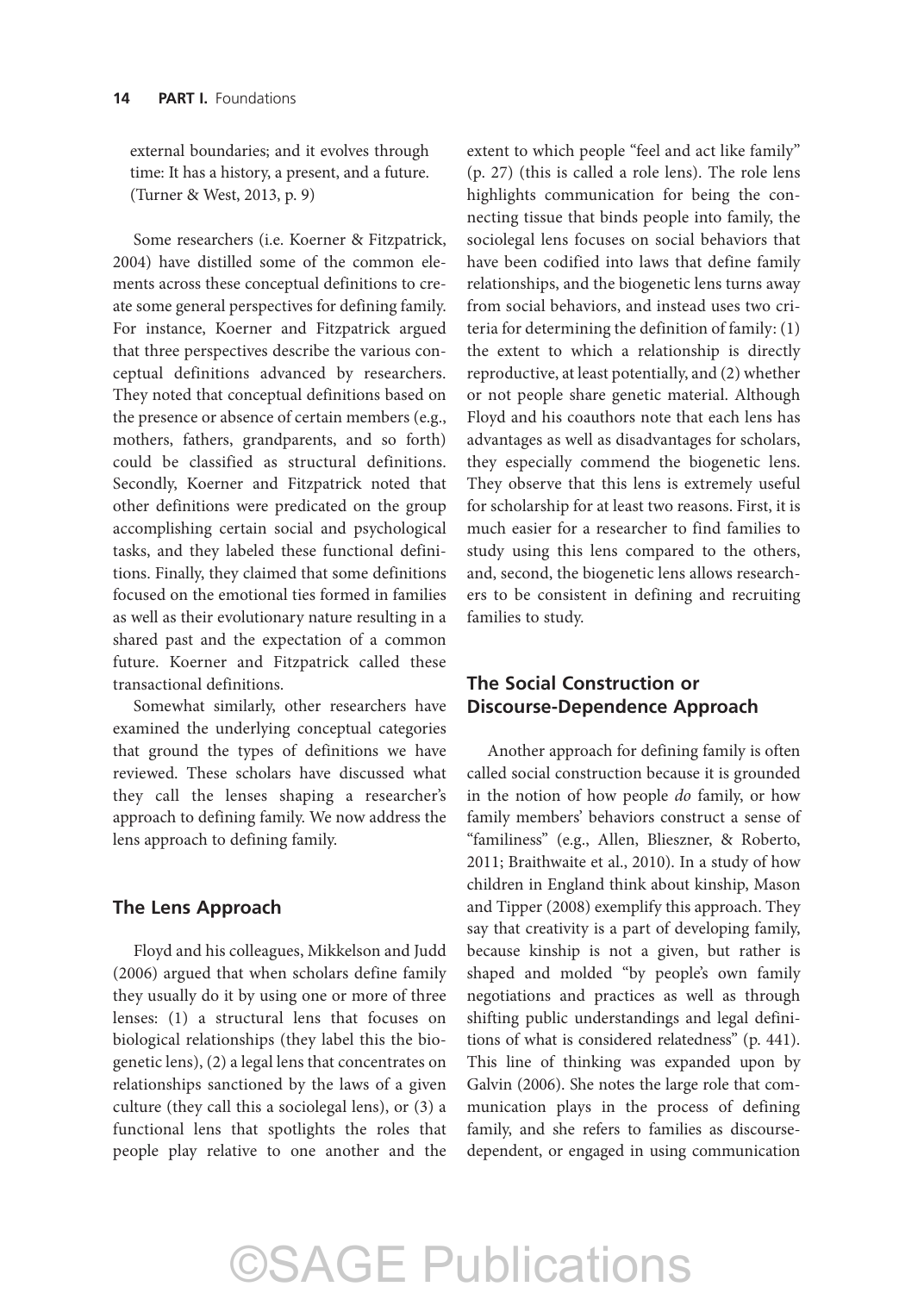external boundaries; and it evolves through time: It has a history, a present, and a future. (Turner & West, 2013, p. 9)

Some researchers (i.e. Koerner & Fitzpatrick, 2004) have distilled some of the common elements across these conceptual definitions to create some general perspectives for defining family. For instance, Koerner and Fitzpatrick argued that three perspectives describe the various conceptual definitions advanced by researchers. They noted that conceptual definitions based on the presence or absence of certain members (e.g., mothers, fathers, grandparents, and so forth) could be classified as structural definitions. Secondly, Koerner and Fitzpatrick noted that other definitions were predicated on the group accomplishing certain social and psychological tasks, and they labeled these functional definitions. Finally, they claimed that some definitions focused on the emotional ties formed in families as well as their evolutionary nature resulting in a shared past and the expectation of a common future. Koerner and Fitzpatrick called these transactional definitions.

Somewhat similarly, other researchers have examined the underlying conceptual categories that ground the types of definitions we have reviewed. These scholars have discussed what they call the lenses shaping a researcher's approach to defining family. We now address the lens approach to defining family.

#### **The Lens Approach**

Floyd and his colleagues, Mikkelson and Judd (2006) argued that when scholars define family they usually do it by using one or more of three lenses: (1) a structural lens that focuses on biological relationships (they label this the biogenetic lens), (2) a legal lens that concentrates on relationships sanctioned by the laws of a given culture (they call this a sociolegal lens), or (3) a functional lens that spotlights the roles that people play relative to one another and the

extent to which people "feel and act like family" (p. 27) (this is called a role lens). The role lens highlights communication for being the connecting tissue that binds people into family, the sociolegal lens focuses on social behaviors that have been codified into laws that define family relationships, and the biogenetic lens turns away from social behaviors, and instead uses two criteria for determining the definition of family: (1) the extent to which a relationship is directly reproductive, at least potentially, and (2) whether or not people share genetic material. Although Floyd and his coauthors note that each lens has advantages as well as disadvantages for scholars, they especially commend the biogenetic lens. They observe that this lens is extremely useful for scholarship for at least two reasons. First, it is much easier for a researcher to find families to study using this lens compared to the others, and, second, the biogenetic lens allows researchers to be consistent in defining and recruiting families to study.

#### **The Social Construction or Discourse-Dependence Approach**

Another approach for defining family is often called social construction because it is grounded in the notion of how people *do* family, or how family members' behaviors construct a sense of "familiness" (e.g., Allen, Blieszner, & Roberto, 2011; Braithwaite et al., 2010). In a study of how children in England think about kinship, Mason and Tipper (2008) exemplify this approach. They say that creativity is a part of developing family, because kinship is not a given, but rather is shaped and molded "by people's own family negotiations and practices as well as through shifting public understandings and legal definitions of what is considered relatedness" (p. 441). This line of thinking was expanded upon by Galvin (2006). She notes the large role that communication plays in the process of defining family, and she refers to families as discoursedependent, or engaged in using communication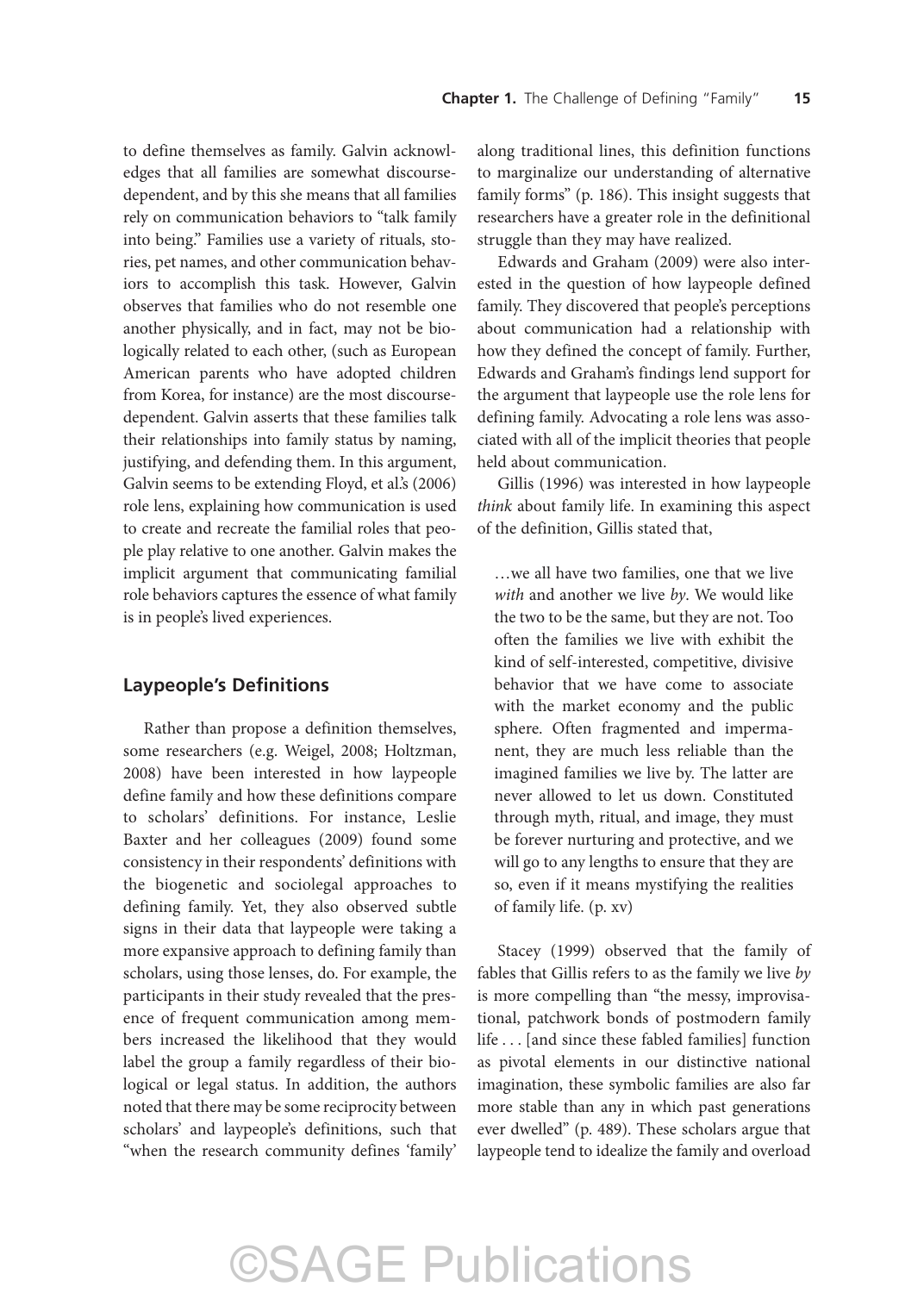to define themselves as family. Galvin acknowledges that all families are somewhat discoursedependent, and by this she means that all families rely on communication behaviors to "talk family into being." Families use a variety of rituals, stories, pet names, and other communication behaviors to accomplish this task. However, Galvin observes that families who do not resemble one another physically, and in fact, may not be biologically related to each other, (such as European American parents who have adopted children from Korea, for instance) are the most discoursedependent. Galvin asserts that these families talk their relationships into family status by naming, justifying, and defending them. In this argument, Galvin seems to be extending Floyd, et al.'s (2006) role lens, explaining how communication is used to create and recreate the familial roles that people play relative to one another. Galvin makes the implicit argument that communicating familial role behaviors captures the essence of what family is in people's lived experiences.

#### **Laypeople's Definitions**

Rather than propose a definition themselves, some researchers (e.g. Weigel, 2008; Holtzman, 2008) have been interested in how laypeople define family and how these definitions compare to scholars' definitions. For instance, Leslie Baxter and her colleagues (2009) found some consistency in their respondents' definitions with the biogenetic and sociolegal approaches to defining family. Yet, they also observed subtle signs in their data that laypeople were taking a more expansive approach to defining family than scholars, using those lenses, do. For example, the participants in their study revealed that the presence of frequent communication among members increased the likelihood that they would label the group a family regardless of their biological or legal status. In addition, the authors noted that there may be some reciprocity between scholars' and laypeople's definitions, such that "when the research community defines 'family'

along traditional lines, this definition functions to marginalize our understanding of alternative family forms" (p. 186). This insight suggests that researchers have a greater role in the definitional struggle than they may have realized.

Edwards and Graham (2009) were also interested in the question of how laypeople defined family. They discovered that people's perceptions about communication had a relationship with how they defined the concept of family. Further, Edwards and Graham's findings lend support for the argument that laypeople use the role lens for defining family. Advocating a role lens was associated with all of the implicit theories that people held about communication.

Gillis (1996) was interested in how laypeople *think* about family life. In examining this aspect of the definition, Gillis stated that,

…we all have two families, one that we live *with* and another we live *by*. We would like the two to be the same, but they are not. Too often the families we live with exhibit the kind of self-interested, competitive, divisive behavior that we have come to associate with the market economy and the public sphere. Often fragmented and impermanent, they are much less reliable than the imagined families we live by. The latter are never allowed to let us down. Constituted through myth, ritual, and image, they must be forever nurturing and protective, and we will go to any lengths to ensure that they are so, even if it means mystifying the realities of family life. (p. xv)

Stacey (1999) observed that the family of fables that Gillis refers to as the family we live *by*  is more compelling than "the messy, improvisational, patchwork bonds of postmodern family life . . . [and since these fabled families] function as pivotal elements in our distinctive national imagination, these symbolic families are also far more stable than any in which past generations ever dwelled" (p. 489). These scholars argue that laypeople tend to idealize the family and overload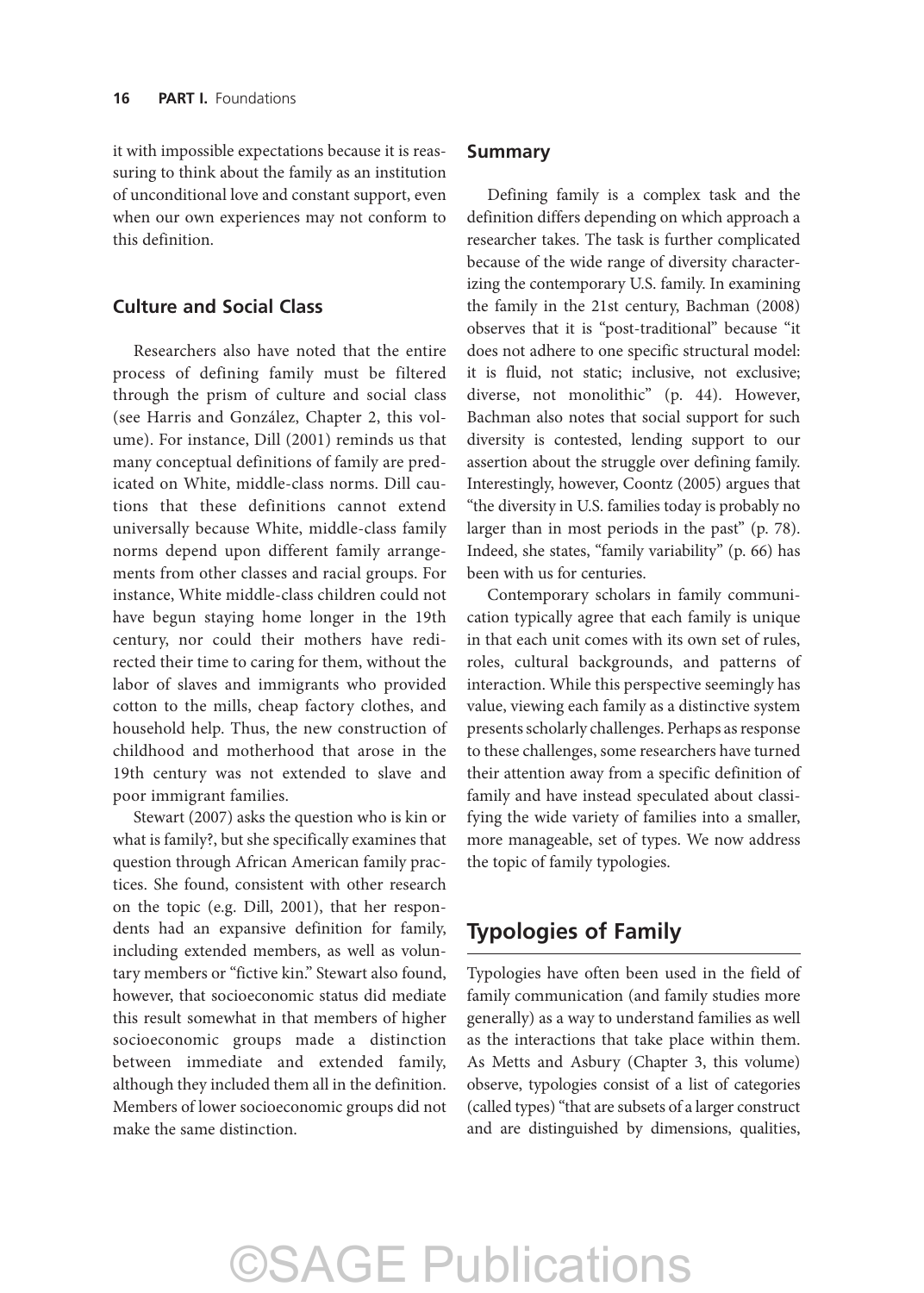it with impossible expectations because it is reassuring to think about the family as an institution of unconditional love and constant support, even when our own experiences may not conform to this definition.

#### **Culture and Social Class**

Researchers also have noted that the entire process of defining family must be filtered through the prism of culture and social class (see Harris and González, Chapter 2, this volume). For instance, Dill (2001) reminds us that many conceptual definitions of family are predicated on White, middle-class norms. Dill cautions that these definitions cannot extend universally because White, middle-class family norms depend upon different family arrangements from other classes and racial groups. For instance, White middle-class children could not have begun staying home longer in the 19th century, nor could their mothers have redirected their time to caring for them, without the labor of slaves and immigrants who provided cotton to the mills, cheap factory clothes, and household help. Thus, the new construction of childhood and motherhood that arose in the 19th century was not extended to slave and poor immigrant families.

Stewart (2007) asks the question who is kin or what is family?, but she specifically examines that question through African American family practices. She found, consistent with other research on the topic (e.g. Dill, 2001), that her respondents had an expansive definition for family, including extended members, as well as voluntary members or "fictive kin." Stewart also found, however, that socioeconomic status did mediate this result somewhat in that members of higher socioeconomic groups made a distinction between immediate and extended family, although they included them all in the definition. Members of lower socioeconomic groups did not make the same distinction.

#### **Summary**

Defining family is a complex task and the definition differs depending on which approach a researcher takes. The task is further complicated because of the wide range of diversity characterizing the contemporary U.S. family. In examining the family in the 21st century, Bachman (2008) observes that it is "post-traditional" because "it does not adhere to one specific structural model: it is fluid, not static; inclusive, not exclusive; diverse, not monolithic" (p. 44). However, Bachman also notes that social support for such diversity is contested, lending support to our assertion about the struggle over defining family. Interestingly, however, Coontz (2005) argues that "the diversity in U.S. families today is probably no larger than in most periods in the past" (p. 78). Indeed, she states, "family variability" (p. 66) has been with us for centuries.

Contemporary scholars in family communication typically agree that each family is unique in that each unit comes with its own set of rules, roles, cultural backgrounds, and patterns of interaction. While this perspective seemingly has value, viewing each family as a distinctive system presents scholarly challenges. Perhaps as response to these challenges, some researchers have turned their attention away from a specific definition of family and have instead speculated about classifying the wide variety of families into a smaller, more manageable, set of types. We now address the topic of family typologies.

### **Typologies of Family**

Typologies have often been used in the field of family communication (and family studies more generally) as a way to understand families as well as the interactions that take place within them. As Metts and Asbury (Chapter 3, this volume) observe, typologies consist of a list of categories (called types) "that are subsets of a larger construct and are distinguished by dimensions, qualities,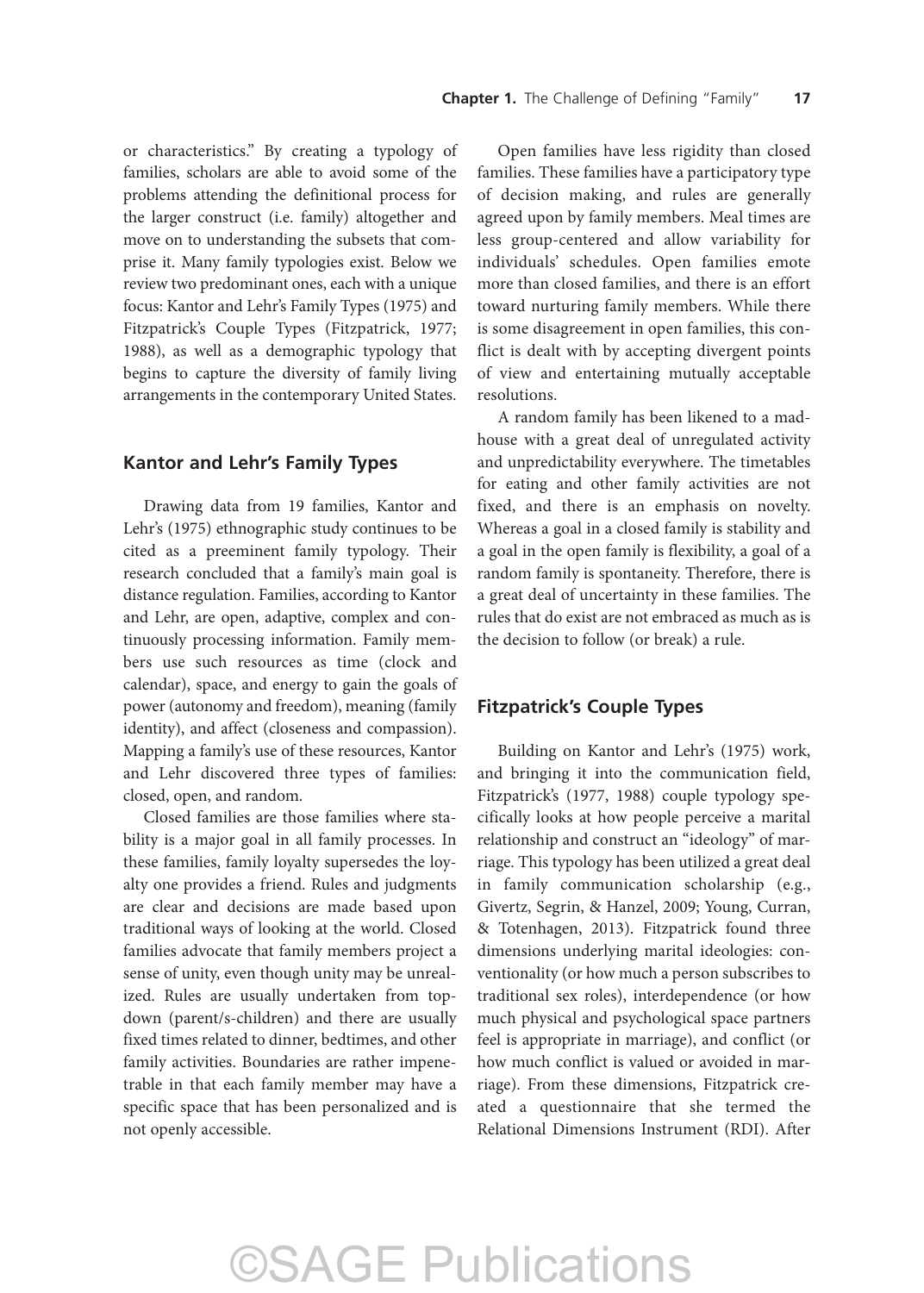or characteristics." By creating a typology of families, scholars are able to avoid some of the problems attending the definitional process for the larger construct (i.e. family) altogether and move on to understanding the subsets that comprise it. Many family typologies exist. Below we review two predominant ones, each with a unique focus: Kantor and Lehr's Family Types (1975) and Fitzpatrick's Couple Types (Fitzpatrick, 1977; 1988), as well as a demographic typology that begins to capture the diversity of family living arrangements in the contemporary United States.

#### **Kantor and Lehr's Family Types**

Drawing data from 19 families, Kantor and Lehr's (1975) ethnographic study continues to be cited as a preeminent family typology. Their research concluded that a family's main goal is distance regulation. Families, according to Kantor and Lehr, are open, adaptive, complex and continuously processing information. Family members use such resources as time (clock and calendar), space, and energy to gain the goals of power (autonomy and freedom), meaning (family identity), and affect (closeness and compassion). Mapping a family's use of these resources, Kantor and Lehr discovered three types of families: closed, open, and random.

Closed families are those families where stability is a major goal in all family processes. In these families, family loyalty supersedes the loyalty one provides a friend. Rules and judgments are clear and decisions are made based upon traditional ways of looking at the world. Closed families advocate that family members project a sense of unity, even though unity may be unrealized. Rules are usually undertaken from topdown (parent/s-children) and there are usually fixed times related to dinner, bedtimes, and other family activities. Boundaries are rather impenetrable in that each family member may have a specific space that has been personalized and is not openly accessible.

Open families have less rigidity than closed families. These families have a participatory type of decision making, and rules are generally agreed upon by family members. Meal times are less group-centered and allow variability for individuals' schedules. Open families emote more than closed families, and there is an effort toward nurturing family members. While there is some disagreement in open families, this conflict is dealt with by accepting divergent points of view and entertaining mutually acceptable resolutions.

A random family has been likened to a madhouse with a great deal of unregulated activity and unpredictability everywhere. The timetables for eating and other family activities are not fixed, and there is an emphasis on novelty. Whereas a goal in a closed family is stability and a goal in the open family is flexibility, a goal of a random family is spontaneity. Therefore, there is a great deal of uncertainty in these families. The rules that do exist are not embraced as much as is the decision to follow (or break) a rule.

#### **Fitzpatrick's Couple Types**

Building on Kantor and Lehr's (1975) work, and bringing it into the communication field, Fitzpatrick's (1977, 1988) couple typology specifically looks at how people perceive a marital relationship and construct an "ideology" of marriage. This typology has been utilized a great deal in family communication scholarship (e.g., Givertz, Segrin, & Hanzel, 2009; Young, Curran, & Totenhagen, 2013). Fitzpatrick found three dimensions underlying marital ideologies: conventionality (or how much a person subscribes to traditional sex roles), interdependence (or how much physical and psychological space partners feel is appropriate in marriage), and conflict (or how much conflict is valued or avoided in marriage). From these dimensions, Fitzpatrick created a questionnaire that she termed the Relational Dimensions Instrument (RDI). After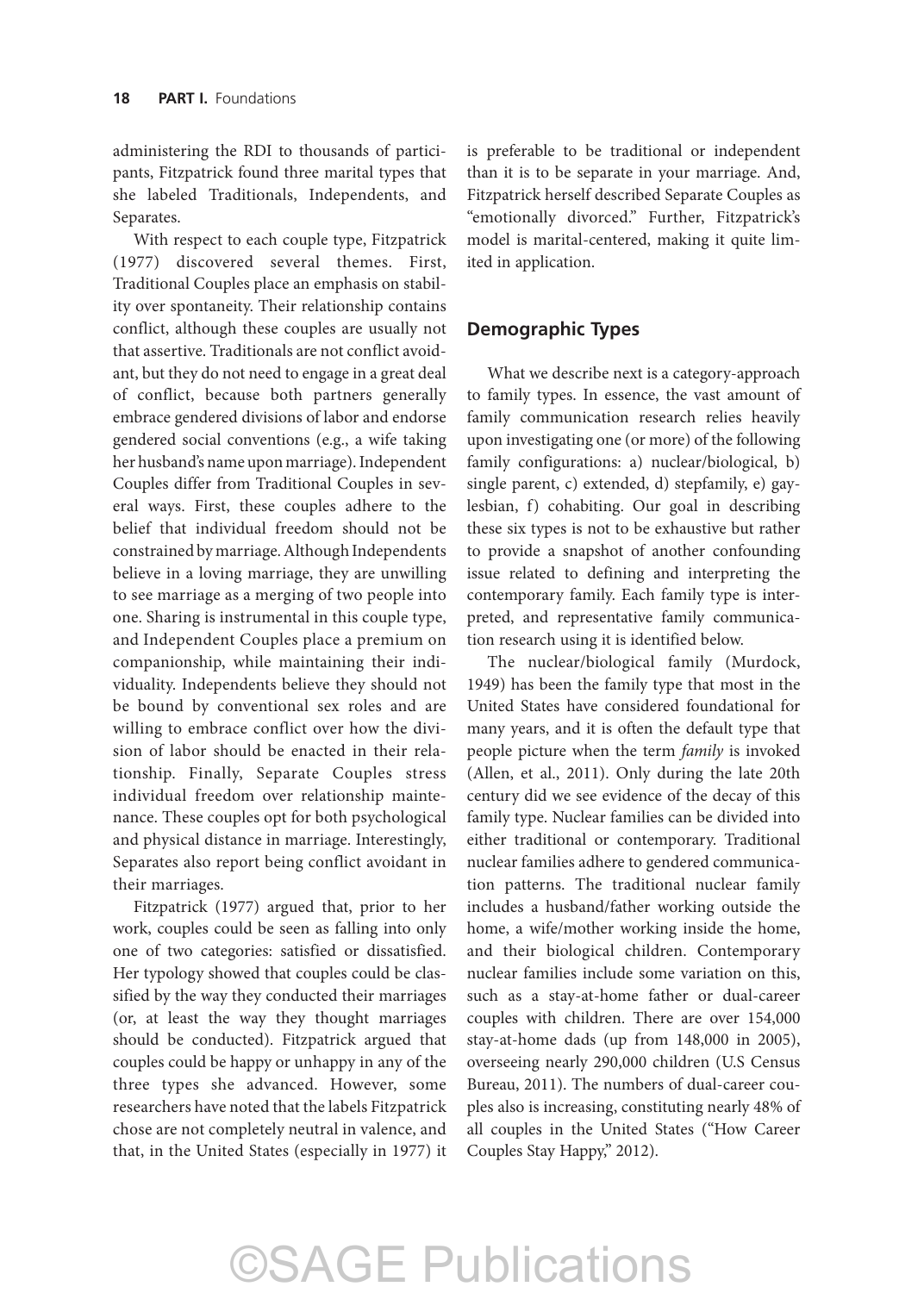administering the RDI to thousands of participants, Fitzpatrick found three marital types that she labeled Traditionals, Independents, and Separates.

With respect to each couple type, Fitzpatrick (1977) discovered several themes. First, Traditional Couples place an emphasis on stability over spontaneity. Their relationship contains conflict, although these couples are usually not that assertive. Traditionals are not conflict avoidant, but they do not need to engage in a great deal of conflict, because both partners generally embrace gendered divisions of labor and endorse gendered social conventions (e.g., a wife taking her husband's name upon marriage). Independent Couples differ from Traditional Couples in several ways. First, these couples adhere to the belief that individual freedom should not be constrained by marriage. Although Independents believe in a loving marriage, they are unwilling to see marriage as a merging of two people into one. Sharing is instrumental in this couple type, and Independent Couples place a premium on companionship, while maintaining their individuality. Independents believe they should not be bound by conventional sex roles and are willing to embrace conflict over how the division of labor should be enacted in their relationship. Finally, Separate Couples stress individual freedom over relationship maintenance. These couples opt for both psychological and physical distance in marriage. Interestingly, Separates also report being conflict avoidant in their marriages.

Fitzpatrick (1977) argued that, prior to her work, couples could be seen as falling into only one of two categories: satisfied or dissatisfied. Her typology showed that couples could be classified by the way they conducted their marriages (or, at least the way they thought marriages should be conducted). Fitzpatrick argued that couples could be happy or unhappy in any of the three types she advanced. However, some researchers have noted that the labels Fitzpatrick chose are not completely neutral in valence, and that, in the United States (especially in 1977) it

is preferable to be traditional or independent than it is to be separate in your marriage. And, Fitzpatrick herself described Separate Couples as "emotionally divorced." Further, Fitzpatrick's model is marital-centered, making it quite limited in application.

#### **Demographic Types**

What we describe next is a category-approach to family types. In essence, the vast amount of family communication research relies heavily upon investigating one (or more) of the following family configurations: a) nuclear/biological, b) single parent, c) extended, d) stepfamily, e) gaylesbian, f) cohabiting. Our goal in describing these six types is not to be exhaustive but rather to provide a snapshot of another confounding issue related to defining and interpreting the contemporary family. Each family type is interpreted, and representative family communication research using it is identified below.

The nuclear/biological family (Murdock, 1949) has been the family type that most in the United States have considered foundational for many years, and it is often the default type that people picture when the term *family* is invoked (Allen, et al., 2011). Only during the late 20th century did we see evidence of the decay of this family type. Nuclear families can be divided into either traditional or contemporary. Traditional nuclear families adhere to gendered communication patterns. The traditional nuclear family includes a husband/father working outside the home, a wife/mother working inside the home, and their biological children. Contemporary nuclear families include some variation on this, such as a stay-at-home father or dual-career couples with children. There are over 154,000 stay-at-home dads (up from 148,000 in 2005), overseeing nearly 290,000 children (U.S Census Bureau, 2011). The numbers of dual-career couples also is increasing, constituting nearly 48% of all couples in the United States ("How Career Couples Stay Happy," 2012).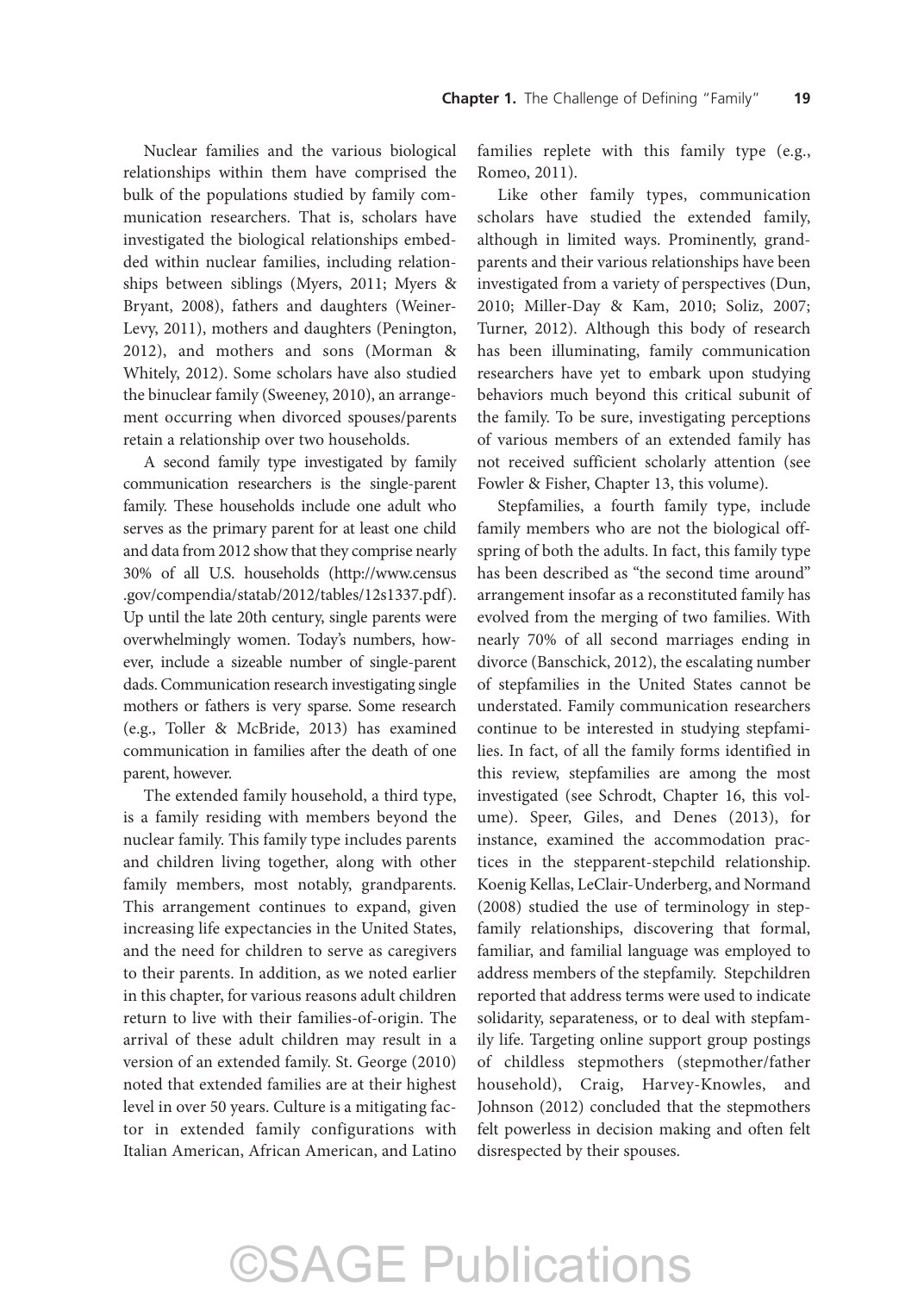Nuclear families and the various biological relationships within them have comprised the bulk of the populations studied by family communication researchers. That is, scholars have investigated the biological relationships embedded within nuclear families, including relationships between siblings (Myers, 2011; Myers & Bryant, 2008), fathers and daughters (Weiner-Levy, 2011), mothers and daughters (Penington, 2012), and mothers and sons (Morman & Whitely, 2012). Some scholars have also studied the binuclear family (Sweeney, 2010), an arrangement occurring when divorced spouses/parents retain a relationship over two households.

A second family type investigated by family communication researchers is the single-parent family. These households include one adult who serves as the primary parent for at least one child and data from 2012 show that they comprise nearly 30% of all U.S. households (http://www.census .gov/compendia/statab/2012/tables/12s1337.pdf). Up until the late 20th century, single parents were overwhelmingly women. Today's numbers, however, include a sizeable number of single-parent dads. Communication research investigating single mothers or fathers is very sparse. Some research (e.g., Toller & McBride, 2013) has examined communication in families after the death of one parent, however.

The extended family household, a third type, is a family residing with members beyond the nuclear family. This family type includes parents and children living together, along with other family members, most notably, grandparents. This arrangement continues to expand, given increasing life expectancies in the United States, and the need for children to serve as caregivers to their parents. In addition, as we noted earlier in this chapter, for various reasons adult children return to live with their families-of-origin. The arrival of these adult children may result in a version of an extended family. St. George (2010) noted that extended families are at their highest level in over 50 years. Culture is a mitigating factor in extended family configurations with Italian American, African American, and Latino

families replete with this family type (e.g., Romeo, 2011).

Like other family types, communication scholars have studied the extended family, although in limited ways. Prominently, grandparents and their various relationships have been investigated from a variety of perspectives (Dun, 2010; Miller-Day & Kam, 2010; Soliz, 2007; Turner, 2012). Although this body of research has been illuminating, family communication researchers have yet to embark upon studying behaviors much beyond this critical subunit of the family. To be sure, investigating perceptions of various members of an extended family has not received sufficient scholarly attention (see Fowler & Fisher, Chapter 13, this volume).

Stepfamilies, a fourth family type, include family members who are not the biological offspring of both the adults. In fact, this family type has been described as "the second time around" arrangement insofar as a reconstituted family has evolved from the merging of two families. With nearly 70% of all second marriages ending in divorce (Banschick, 2012), the escalating number of stepfamilies in the United States cannot be understated. Family communication researchers continue to be interested in studying stepfamilies. In fact, of all the family forms identified in this review, stepfamilies are among the most investigated (see Schrodt, Chapter 16, this volume). Speer, Giles, and Denes (2013), for instance, examined the accommodation practices in the stepparent-stepchild relationship. Koenig Kellas, LeClair-Underberg, and Normand (2008) studied the use of terminology in stepfamily relationships, discovering that formal, familiar, and familial language was employed to address members of the stepfamily. Stepchildren reported that address terms were used to indicate solidarity, separateness, or to deal with stepfamily life. Targeting online support group postings of childless stepmothers (stepmother/father household), Craig, Harvey-Knowles, and Johnson (2012) concluded that the stepmothers felt powerless in decision making and often felt disrespected by their spouses.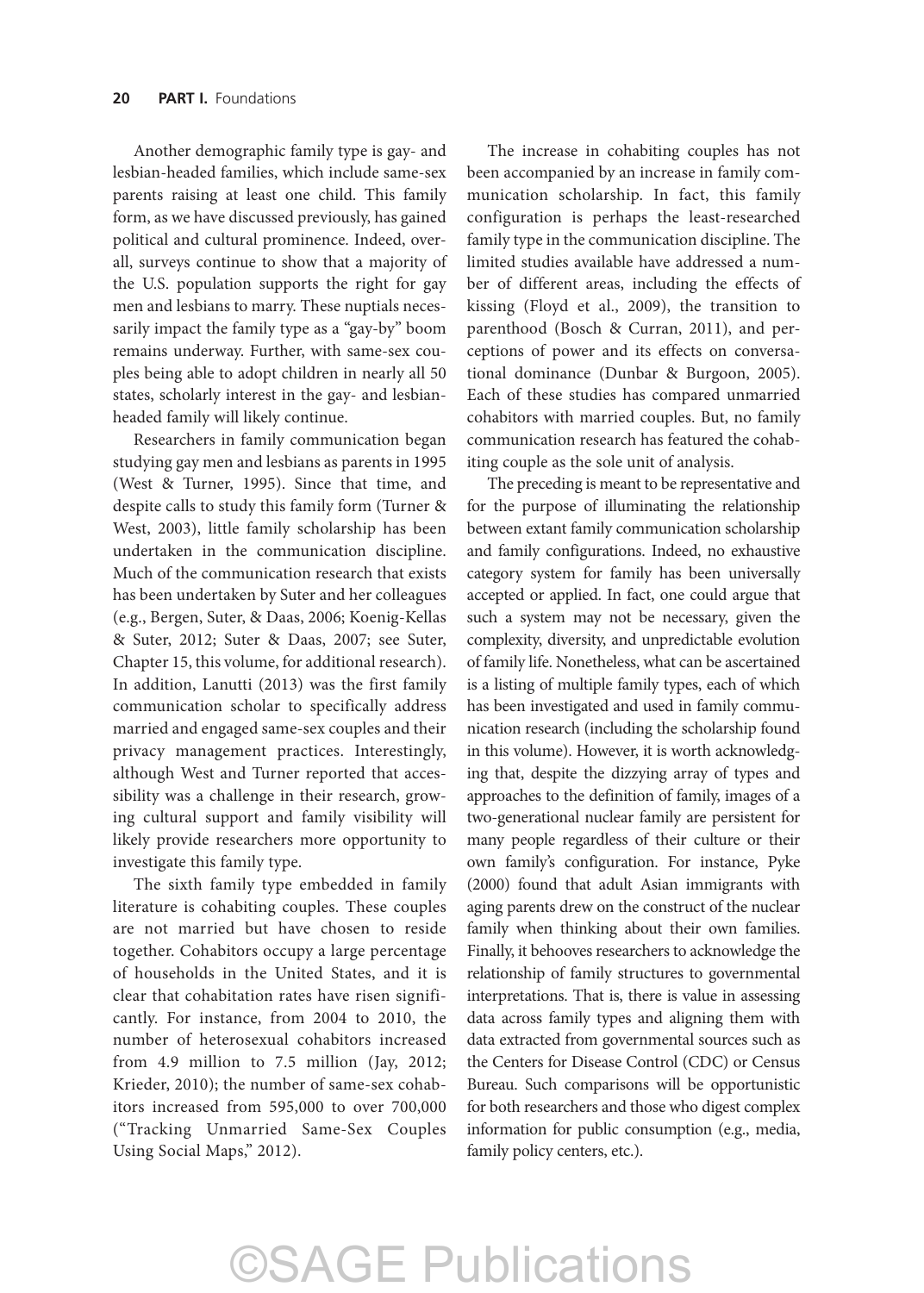Another demographic family type is gay- and lesbian-headed families, which include same-sex parents raising at least one child. This family form, as we have discussed previously, has gained political and cultural prominence. Indeed, overall, surveys continue to show that a majority of the U.S. population supports the right for gay men and lesbians to marry. These nuptials necessarily impact the family type as a "gay-by" boom remains underway. Further, with same-sex couples being able to adopt children in nearly all 50 states, scholarly interest in the gay- and lesbianheaded family will likely continue.

Researchers in family communication began studying gay men and lesbians as parents in 1995 (West & Turner, 1995). Since that time, and despite calls to study this family form (Turner & West, 2003), little family scholarship has been undertaken in the communication discipline. Much of the communication research that exists has been undertaken by Suter and her colleagues (e.g., Bergen, Suter, & Daas, 2006; Koenig-Kellas & Suter, 2012; Suter & Daas, 2007; see Suter, Chapter 15, this volume, for additional research). In addition, Lanutti (2013) was the first family communication scholar to specifically address married and engaged same-sex couples and their privacy management practices. Interestingly, although West and Turner reported that accessibility was a challenge in their research, growing cultural support and family visibility will likely provide researchers more opportunity to investigate this family type.

The sixth family type embedded in family literature is cohabiting couples. These couples are not married but have chosen to reside together. Cohabitors occupy a large percentage of households in the United States, and it is clear that cohabitation rates have risen significantly. For instance, from 2004 to 2010, the number of heterosexual cohabitors increased from 4.9 million to 7.5 million (Jay, 2012; Krieder, 2010); the number of same-sex cohabitors increased from 595,000 to over 700,000 ("Tracking Unmarried Same-Sex Couples Using Social Maps," 2012).

The increase in cohabiting couples has not been accompanied by an increase in family communication scholarship. In fact, this family configuration is perhaps the least-researched family type in the communication discipline. The limited studies available have addressed a number of different areas, including the effects of kissing (Floyd et al., 2009), the transition to parenthood (Bosch & Curran, 2011), and perceptions of power and its effects on conversational dominance (Dunbar & Burgoon, 2005). Each of these studies has compared unmarried cohabitors with married couples. But, no family communication research has featured the cohabiting couple as the sole unit of analysis.

The preceding is meant to be representative and for the purpose of illuminating the relationship between extant family communication scholarship and family configurations. Indeed, no exhaustive category system for family has been universally accepted or applied. In fact, one could argue that such a system may not be necessary, given the complexity, diversity, and unpredictable evolution of family life. Nonetheless, what can be ascertained is a listing of multiple family types, each of which has been investigated and used in family communication research (including the scholarship found in this volume). However, it is worth acknowledging that, despite the dizzying array of types and approaches to the definition of family, images of a two-generational nuclear family are persistent for many people regardless of their culture or their own family's configuration. For instance, Pyke (2000) found that adult Asian immigrants with aging parents drew on the construct of the nuclear family when thinking about their own families. Finally, it behooves researchers to acknowledge the relationship of family structures to governmental interpretations. That is, there is value in assessing data across family types and aligning them with data extracted from governmental sources such as the Centers for Disease Control (CDC) or Census Bureau. Such comparisons will be opportunistic for both researchers and those who digest complex information for public consumption (e.g., media, family policy centers, etc.).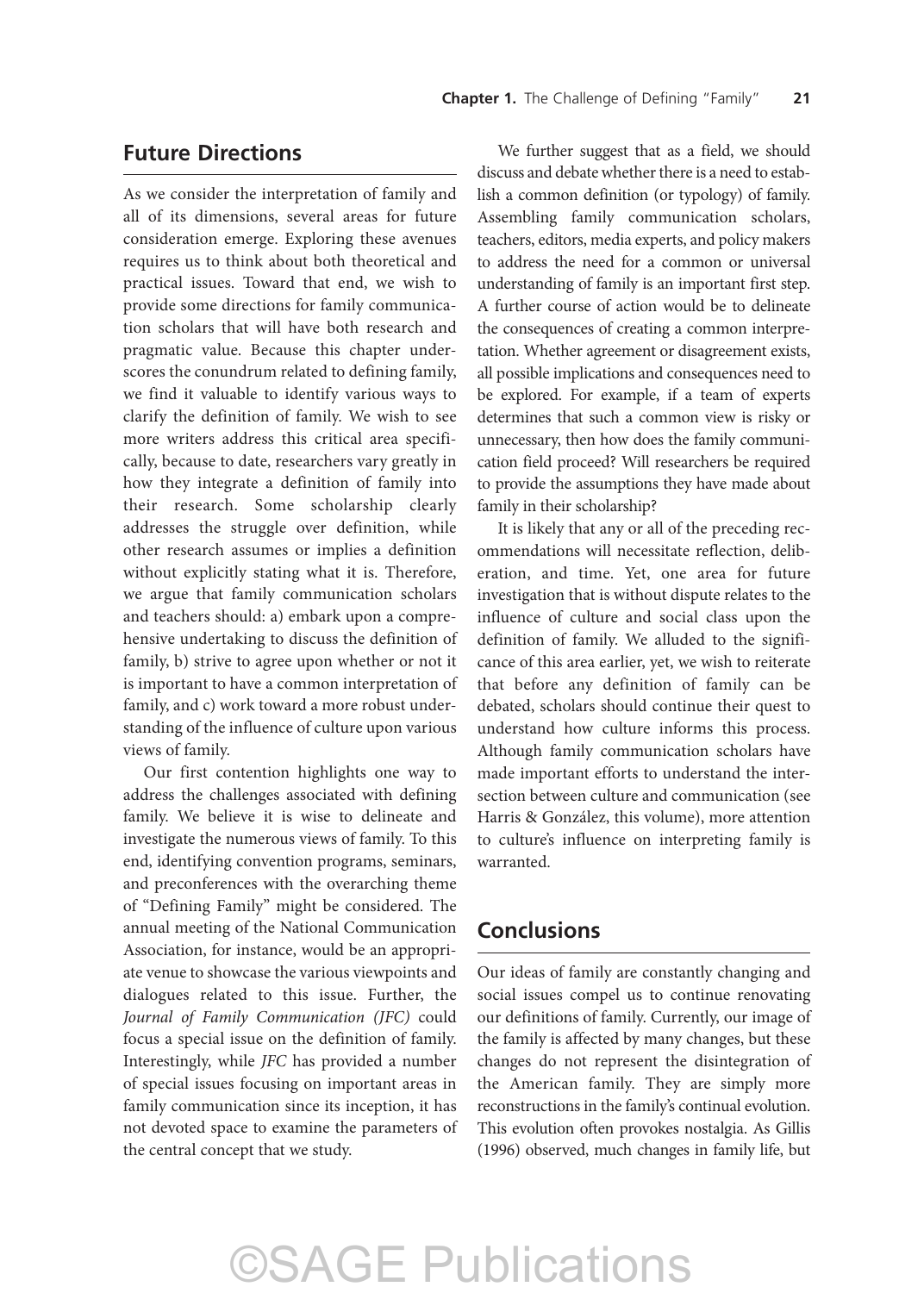### **Future Directions**

As we consider the interpretation of family and all of its dimensions, several areas for future consideration emerge. Exploring these avenues requires us to think about both theoretical and practical issues. Toward that end, we wish to provide some directions for family communication scholars that will have both research and pragmatic value. Because this chapter underscores the conundrum related to defining family, we find it valuable to identify various ways to clarify the definition of family. We wish to see more writers address this critical area specifically, because to date, researchers vary greatly in how they integrate a definition of family into their research. Some scholarship clearly addresses the struggle over definition, while other research assumes or implies a definition without explicitly stating what it is. Therefore, we argue that family communication scholars and teachers should: a) embark upon a comprehensive undertaking to discuss the definition of family, b) strive to agree upon whether or not it is important to have a common interpretation of family, and c) work toward a more robust understanding of the influence of culture upon various views of family.

Our first contention highlights one way to address the challenges associated with defining family. We believe it is wise to delineate and investigate the numerous views of family. To this end, identifying convention programs, seminars, and preconferences with the overarching theme of "Defining Family" might be considered. The annual meeting of the National Communication Association, for instance, would be an appropriate venue to showcase the various viewpoints and dialogues related to this issue. Further, the *Journal of Family Communication (JFC)* could focus a special issue on the definition of family. Interestingly, while *JFC* has provided a number of special issues focusing on important areas in family communication since its inception, it has not devoted space to examine the parameters of the central concept that we study.

We further suggest that as a field, we should discuss and debate whether there is a need to establish a common definition (or typology) of family. Assembling family communication scholars, teachers, editors, media experts, and policy makers to address the need for a common or universal understanding of family is an important first step. A further course of action would be to delineate the consequences of creating a common interpretation. Whether agreement or disagreement exists, all possible implications and consequences need to be explored. For example, if a team of experts determines that such a common view is risky or unnecessary, then how does the family communication field proceed? Will researchers be required to provide the assumptions they have made about family in their scholarship?

It is likely that any or all of the preceding recommendations will necessitate reflection, deliberation, and time. Yet, one area for future investigation that is without dispute relates to the influence of culture and social class upon the definition of family. We alluded to the significance of this area earlier, yet, we wish to reiterate that before any definition of family can be debated, scholars should continue their quest to understand how culture informs this process. Although family communication scholars have made important efforts to understand the intersection between culture and communication (see Harris & González, this volume), more attention to culture's influence on interpreting family is warranted.

### **Conclusions**

Our ideas of family are constantly changing and social issues compel us to continue renovating our definitions of family. Currently, our image of the family is affected by many changes, but these changes do not represent the disintegration of the American family. They are simply more reconstructions in the family's continual evolution. This evolution often provokes nostalgia. As Gillis (1996) observed, much changes in family life, but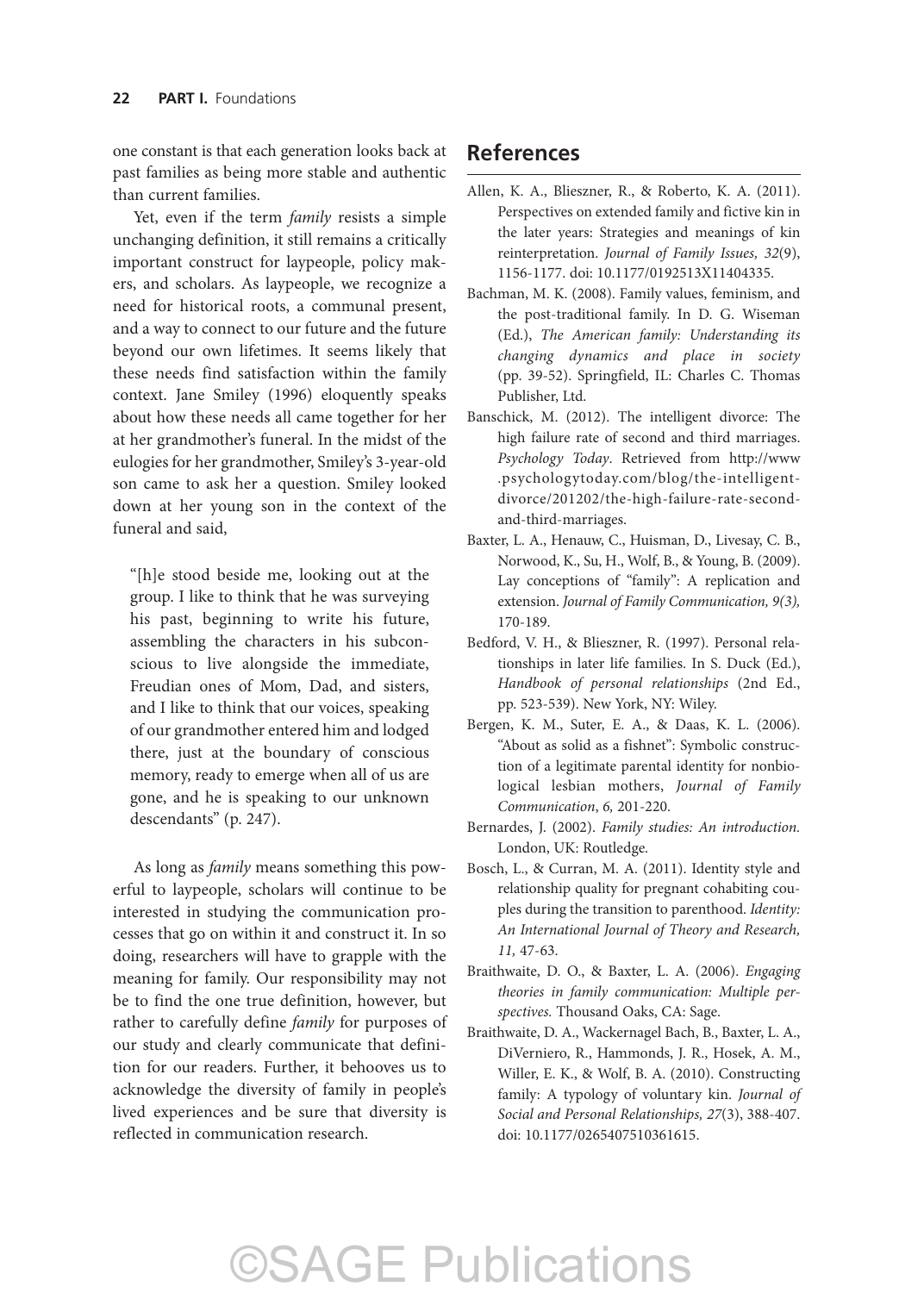one constant is that each generation looks back at past families as being more stable and authentic than current families.

Yet, even if the term *family* resists a simple unchanging definition, it still remains a critically important construct for laypeople, policy makers, and scholars. As laypeople, we recognize a need for historical roots, a communal present, and a way to connect to our future and the future beyond our own lifetimes. It seems likely that these needs find satisfaction within the family context. Jane Smiley (1996) eloquently speaks about how these needs all came together for her at her grandmother's funeral. In the midst of the eulogies for her grandmother, Smiley's 3-year-old son came to ask her a question. Smiley looked down at her young son in the context of the funeral and said,

"[h]e stood beside me, looking out at the group. I like to think that he was surveying his past, beginning to write his future, assembling the characters in his subconscious to live alongside the immediate, Freudian ones of Mom, Dad, and sisters, and I like to think that our voices, speaking of our grandmother entered him and lodged there, just at the boundary of conscious memory, ready to emerge when all of us are gone, and he is speaking to our unknown descendants" (p. 247).

As long as *family* means something this powerful to laypeople, scholars will continue to be interested in studying the communication processes that go on within it and construct it. In so doing, researchers will have to grapple with the meaning for family. Our responsibility may not be to find the one true definition, however, but rather to carefully define *family* for purposes of our study and clearly communicate that definition for our readers. Further, it behooves us to acknowledge the diversity of family in people's lived experiences and be sure that diversity is reflected in communication research.

### **References**

- Allen, K. A., Blieszner, R., & Roberto, K. A. (2011). Perspectives on extended family and fictive kin in the later years: Strategies and meanings of kin reinterpretation. *Journal of Family Issues, 32*(9), 1156-1177. doi: 10.1177/0192513X11404335.
- Bachman, M. K. (2008). Family values, feminism, and the post-traditional family. In D. G. Wiseman (Ed.), *The American family: Understanding its changing dynamics and place in society*  (pp. 39-52). Springfield, IL: Charles C. Thomas Publisher, Ltd.
- Banschick, M. (2012). The intelligent divorce: The high failure rate of second and third marriages. *Psychology Today*. Retrieved from http://www .psychologytoday.com/blog/the-intelligentdivorce/201202/the-high-failure-rate-secondand-third-marriages.
- Baxter, L. A., Henauw, C., Huisman, D., Livesay, C. B., Norwood, K., Su, H., Wolf, B., & Young, B. (2009). Lay conceptions of "family": A replication and extension. *Journal of Family Communication, 9(3),*  170-189.
- Bedford, V. H., & Blieszner, R. (1997). Personal relationships in later life families. In S. Duck (Ed.), *Handbook of personal relationships* (2nd Ed., pp. 523-539). New York, NY: Wiley.
- Bergen, K. M., Suter, E. A., & Daas, K. L. (2006). "About as solid as a fishnet": Symbolic construction of a legitimate parental identity for nonbiological lesbian mothers, *Journal of Family Communication*, *6,* 201-220.
- Bernardes, J. (2002). *Family studies: An introduction.*  London, UK: Routledge.
- Bosch, L., & Curran, M. A. (2011). Identity style and relationship quality for pregnant cohabiting couples during the transition to parenthood. *Identity: An International Journal of Theory and Research, 11,* 47-63.
- Braithwaite, D. O., & Baxter, L. A. (2006). *Engaging theories in family communication: Multiple perspectives.* Thousand Oaks, CA: Sage.
- Braithwaite, D. A., Wackernagel Bach, B., Baxter, L. A., DiVerniero, R., Hammonds, J. R., Hosek, A. M., Willer, E. K., & Wolf, B. A. (2010). Constructing family: A typology of voluntary kin. *Journal of Social and Personal Relationships, 27*(3), 388-407. doi: 10.1177/0265407510361615.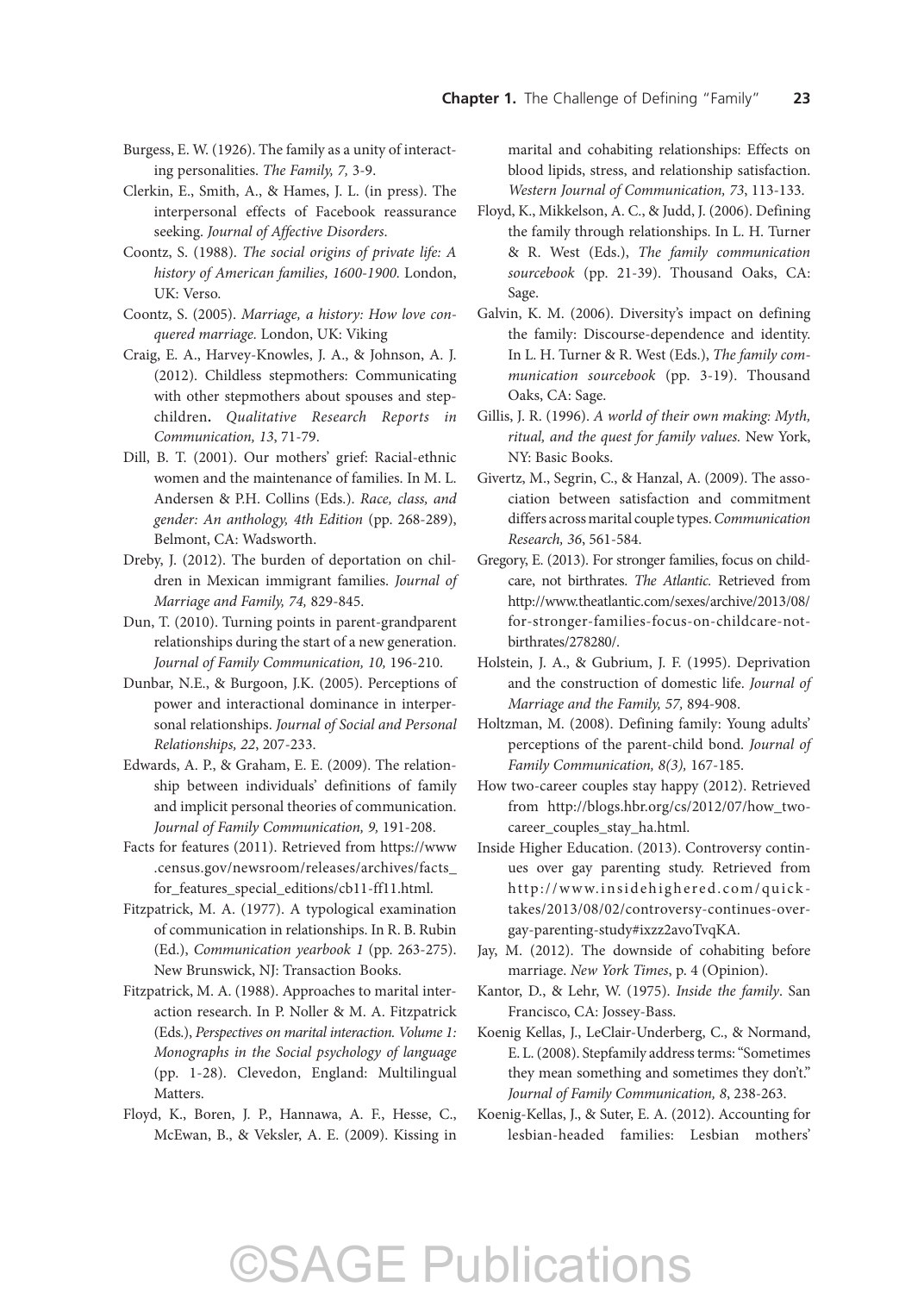- Burgess, E. W. (1926). The family as a unity of interacting personalities. *The Family, 7,* 3-9.
- Clerkin, E., Smith, A., & Hames, J. L. (in press). The interpersonal effects of Facebook reassurance seeking. *Journal of Affective Disorders*.
- Coontz, S. (1988). *The social origins of private life: A history of American families, 1600-1900.* London, UK: Verso.
- Coontz, S. (2005). *Marriage, a history: How love conquered marriage.* London, UK: Viking
- Craig, E. A., Harvey-Knowles, J. A., & Johnson, A. J. (2012). Childless stepmothers: Communicating with other stepmothers about spouses and stepchildren**.** *Qualitative Research Reports in Communication, 13*, 71-79.
- Dill, B. T. (2001). Our mothers' grief: Racial-ethnic women and the maintenance of families. In M. L. Andersen & P.H. Collins (Eds.). *Race, class, and gender: An anthology, 4th Edition* (pp. 268-289), Belmont, CA: Wadsworth.
- Dreby, J. (2012). The burden of deportation on children in Mexican immigrant families. *Journal of Marriage and Family, 74,* 829-845.
- Dun, T. (2010). Turning points in parent-grandparent relationships during the start of a new generation. *Journal of Family Communication, 10,* 196-210.
- Dunbar, N.E., & Burgoon, J.K. (2005). Perceptions of power and interactional dominance in interpersonal relationships. *Journal of Social and Personal Relationships, 22*, 207-233.
- Edwards, A. P., & Graham, E. E. (2009). The relationship between individuals' definitions of family and implicit personal theories of communication. *Journal of Family Communication, 9,* 191-208.
- Facts for features (2011). Retrieved from https://www .census.gov/newsroom/releases/archives/facts\_ for\_features\_special\_editions/cb11-ff11.html.
- Fitzpatrick, M. A. (1977). A typological examination of communication in relationships. In R. B. Rubin (Ed.), *Communication yearbook 1* (pp. 263-275). New Brunswick, NJ: Transaction Books.
- Fitzpatrick, M. A. (1988). Approaches to marital interaction research. In P. Noller & M. A. Fitzpatrick (Eds.), *Perspectives on marital interaction. Volume 1: Monographs in the Social psychology of language* (pp. 1-28). Clevedon, England: Multilingual Matters.
- Floyd, K., Boren, J. P., Hannawa, A. F., Hesse, C., McEwan, B., & Veksler, A. E. (2009). Kissing in

marital and cohabiting relationships: Effects on blood lipids, stress, and relationship satisfaction. *Western Journal of Communication, 73*, 113-133.

- Floyd, K., Mikkelson, A. C., & Judd, J. (2006). Defining the family through relationships. In L. H. Turner & R. West (Eds.), *The family communication sourcebook* (pp. 21-39). Thousand Oaks, CA: Sage.
- Galvin, K. M. (2006). Diversity's impact on defining the family: Discourse-dependence and identity. In L. H. Turner & R. West (Eds.), *The family communication sourcebook* (pp. 3-19). Thousand Oaks, CA: Sage.
- Gillis, J. R. (1996). *A world of their own making: Myth, ritual, and the quest for family values.* New York, NY: Basic Books.
- Givertz, M., Segrin, C., & Hanzal, A. (2009). The association between satisfaction and commitment differs across marital couple types. *Communication Research, 36*, 561-584.
- Gregory, E. (2013). For stronger families, focus on childcare, not birthrates. *The Atlantic.* Retrieved from http://www.theatlantic.com/sexes/archive/2013/08/ for-stronger-families-focus-on-childcare-notbirthrates/278280/.
- Holstein, J. A., & Gubrium, J. F. (1995). Deprivation and the construction of domestic life. *Journal of Marriage and the Family, 57,* 894-908.
- Holtzman, M. (2008). Defining family: Young adults' perceptions of the parent-child bond. *Journal of Family Communication, 8(3),* 167-185.
- How two-career couples stay happy (2012). Retrieved from http://blogs.hbr.org/cs/2012/07/how\_twocareer\_couples\_stay\_ha.html.
- Inside Higher Education. (2013). Controversy continues over gay parenting study. Retrieved from http://www.insidehighered.com/quick takes/2013/08/02/controversy-continues-overgay-parenting-study#ixzz2avoTvqKA.
- Jay, M. (2012). The downside of cohabiting before marriage. *New York Times*, p. 4 (Opinion).
- Kantor, D., & Lehr, W. (1975). *Inside the family*. San Francisco, CA: Jossey-Bass.
- Koenig Kellas, J., LeClair-Underberg, C., & Normand, E. L. (2008). Stepfamily address terms: "Sometimes they mean something and sometimes they don't." *Journal of Family Communication, 8*, 238-263.
- Koenig-Kellas, J., & Suter, E. A. (2012). Accounting for lesbian-headed families: Lesbian mothers'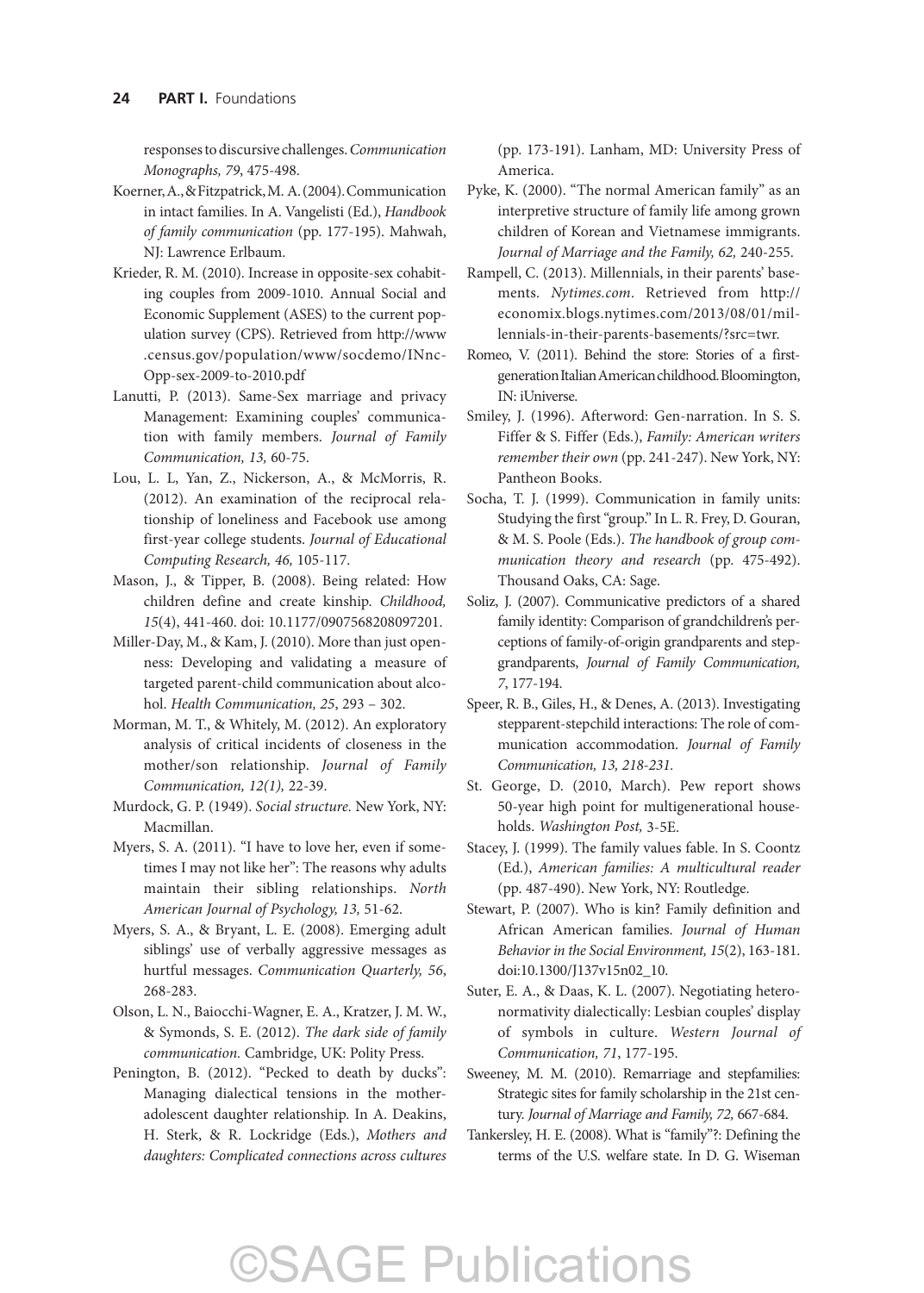responses to discursive challenges. *Communication Monographs, 79*, 475-498.

- Koerner, A., & Fitzpatrick, M. A. (2004). Communication in intact families. In A. Vangelisti (Ed.), *Handbook of family communication* (pp. 177-195). Mahwah, NJ: Lawrence Erlbaum.
- Krieder, R. M. (2010). Increase in opposite-sex cohabiting couples from 2009-1010. Annual Social and Economic Supplement (ASES) to the current population survey (CPS). Retrieved from http://www .census.gov/population/www/socdemo/INnc-Opp-sex-2009-to-2010.pdf
- Lanutti, P. (2013). Same-Sex marriage and privacy Management: Examining couples' communication with family members. *Journal of Family Communication, 13,* 60-75.
- Lou, L. L, Yan, Z., Nickerson, A., & McMorris, R. (2012). An examination of the reciprocal relationship of loneliness and Facebook use among first-year college students. *Journal of Educational Computing Research, 46,* 105-117.
- Mason, J., & Tipper, B. (2008). Being related: How children define and create kinship. *Childhood, 15*(4), 441-460. doi: 10.1177/0907568208097201.
- Miller-Day, M., & Kam, J. (2010). More than just openness: Developing and validating a measure of targeted parent-child communication about alcohol. *Health Communication, 25*, 293 – 302.
- Morman, M. T., & Whitely, M. (2012). An exploratory analysis of critical incidents of closeness in the mother/son relationship. *Journal of Family Communication, 12(1),* 22-39.
- Murdock, G. P. (1949). *Social structure.* New York, NY: Macmillan.
- Myers, S. A. (2011). "I have to love her, even if sometimes I may not like her": The reasons why adults maintain their sibling relationships. *North American Journal of Psychology, 13,* 51-62.
- Myers, S. A., & Bryant, L. E. (2008). Emerging adult siblings' use of verbally aggressive messages as hurtful messages. *Communication Quarterly, 56*, 268-283.
- Olson, L. N., Baiocchi-Wagner, E. A., Kratzer, J. M. W., & Symonds, S. E. (2012). *The dark side of family communication.* Cambridge, UK: Polity Press.
- Penington, B. (2012). "Pecked to death by ducks": Managing dialectical tensions in the motheradolescent daughter relationship. In A. Deakins, H. Sterk, & R. Lockridge (Eds.), *Mothers and daughters: Complicated connections across cultures*

(pp. 173-191). Lanham, MD: University Press of America.

- Pyke, K. (2000). "The normal American family" as an interpretive structure of family life among grown children of Korean and Vietnamese immigrants. *Journal of Marriage and the Family, 62,* 240-255.
- Rampell, C. (2013). Millennials, in their parents' basements. *Nytimes.com*. Retrieved from http:// economix.blogs.nytimes.com/2013/08/01/millennials-in-their-parents-basements/?src=twr.
- Romeo, V. (2011). Behind the store: Stories of a firstgeneration Italian American childhood. Bloomington, IN: iUniverse.
- Smiley, J. (1996). Afterword: Gen-narration. In S. S. Fiffer & S. Fiffer (Eds.), *Family: American writers remember their own* (pp. 241-247). New York, NY: Pantheon Books.
- Socha, T. J. (1999). Communication in family units: Studying the first "group." In L. R. Frey, D. Gouran, & M. S. Poole (Eds.). *The handbook of group communication theory and research* (pp. 475-492). Thousand Oaks, CA: Sage.
- Soliz, J. (2007). Communicative predictors of a shared family identity: Comparison of grandchildren's perceptions of family-of-origin grandparents and stepgrandparents, *Journal of Family Communication, 7*, 177-194.
- Speer, R. B., Giles, H., & Denes, A. (2013). Investigating stepparent-stepchild interactions: The role of communication accommodation. *Journal of Family Communication, 13, 218-231.*
- St. George, D. (2010, March). Pew report shows 50-year high point for multigenerational households. *Washington Post,* 3-5E.
- Stacey, J. (1999). The family values fable. In S. Coontz (Ed.), *American families: A multicultural reader*  (pp. 487-490). New York, NY: Routledge.
- Stewart, P. (2007). Who is kin? Family definition and African American families. *Journal of Human Behavior in the Social Environment, 15*(2), 163-181. doi:10.1300/J137v15n02\_10.
- Suter, E. A., & Daas, K. L. (2007). Negotiating heteronormativity dialectically: Lesbian couples' display of symbols in culture. *Western Journal of Communication, 71*, 177-195.
- Sweeney, M. M. (2010). Remarriage and stepfamilies: Strategic sites for family scholarship in the 21st century. *Journal of Marriage and Family, 72,* 667-684.
- Tankersley, H. E. (2008). What is "family"?: Defining the terms of the U.S. welfare state. In D. G. Wiseman